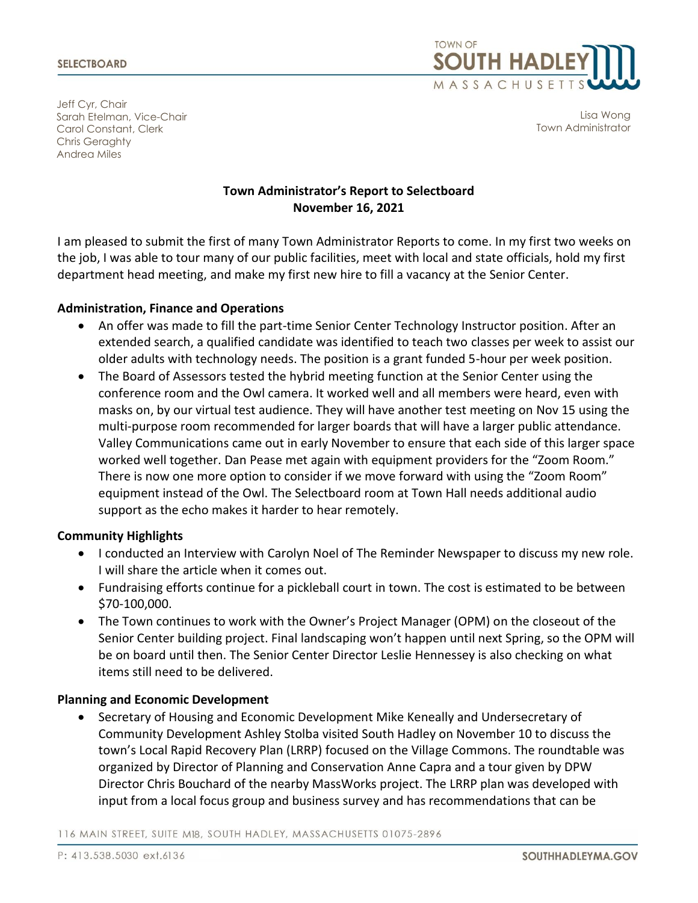

Jeff Cyr, Chair Sarah Etelman, Vice-Chair Carol Constant, Clerk Chris Geraghty Andrea Miles

Lisa Wong Town Administrator

## **Town Administrator's Report to Selectboard November 16, 2021**

I am pleased to submit the first of many Town Administrator Reports to come. In my first two weeks on the job, I was able to tour many of our public facilities, meet with local and state officials, hold my first department head meeting, and make my first new hire to fill a vacancy at the Senior Center.

#### **Administration, Finance and Operations**

- An offer was made to fill the part-time Senior Center Technology Instructor position. After an extended search, a qualified candidate was identified to teach two classes per week to assist our older adults with technology needs. The position is a grant funded 5-hour per week position.
- The Board of Assessors tested the hybrid meeting function at the Senior Center using the conference room and the Owl camera. It worked well and all members were heard, even with masks on, by our virtual test audience. They will have another test meeting on Nov 15 using the multi-purpose room recommended for larger boards that will have a larger public attendance. Valley Communications came out in early November to ensure that each side of this larger space worked well together. Dan Pease met again with equipment providers for the "Zoom Room." There is now one more option to consider if we move forward with using the "Zoom Room" equipment instead of the Owl. The Selectboard room at Town Hall needs additional audio support as the echo makes it harder to hear remotely.

#### **Community Highlights**

- I conducted an Interview with Carolyn Noel of The Reminder Newspaper to discuss my new role. I will share the article when it comes out.
- Fundraising efforts continue for a pickleball court in town. The cost is estimated to be between \$70-100,000.
- The Town continues to work with the Owner's Project Manager (OPM) on the closeout of the Senior Center building project. Final landscaping won't happen until next Spring, so the OPM will be on board until then. The Senior Center Director Leslie Hennessey is also checking on what items still need to be delivered.

## **Planning and Economic Development**

• Secretary of Housing and Economic Development Mike Keneally and Undersecretary of Community Development Ashley Stolba visited South Hadley on November 10 to discuss the town's Local Rapid Recovery Plan (LRRP) focused on the Village Commons. The roundtable was organized by Director of Planning and Conservation Anne Capra and a tour given by DPW Director Chris Bouchard of the nearby MassWorks project. The LRRP plan was developed with input from a local focus group and business survey and has recommendations that can be

116 MAIN STREET, SUITE MI8, SOUTH HADLEY, MASSACHUSETTS 01075-2896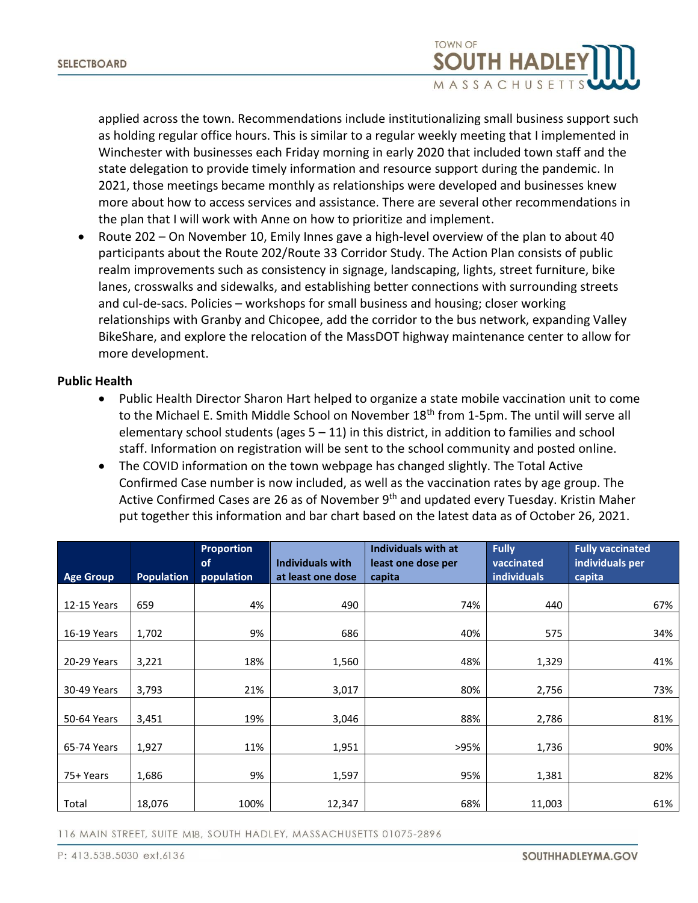

applied across the town. Recommendations include institutionalizing small business support such as holding regular office hours. This is similar to a regular weekly meeting that I implemented in Winchester with businesses each Friday morning in early 2020 that included town staff and the state delegation to provide timely information and resource support during the pandemic. In 2021, those meetings became monthly as relationships were developed and businesses knew more about how to access services and assistance. There are several other recommendations in the plan that I will work with Anne on how to prioritize and implement.

• Route 202 – On November 10, Emily Innes gave a high-level overview of the plan to about 40 participants about the Route 202/Route 33 Corridor Study. The Action Plan consists of public realm improvements such as consistency in signage, landscaping, lights, street furniture, bike lanes, crosswalks and sidewalks, and establishing better connections with surrounding streets and cul-de-sacs. Policies – workshops for small business and housing; closer working relationships with Granby and Chicopee, add the corridor to the bus network, expanding Valley BikeShare, and explore the relocation of the MassDOT highway maintenance center to allow for more development.

#### **Public Health**

- Public Health Director Sharon Hart helped to organize a state mobile vaccination unit to come to the Michael E. Smith Middle School on November 18<sup>th</sup> from 1-5pm. The until will serve all elementary school students (ages  $5 - 11$ ) in this district, in addition to families and school staff. Information on registration will be sent to the school community and posted online.
- The COVID information on the town webpage has changed slightly. The Total Active Confirmed Case number is now included, as well as the vaccination rates by age group. The Active Confirmed Cases are 26 as of November 9<sup>th</sup> and updated every Tuesday. Kristin Maher put together this information and bar chart based on the latest data as of October 26, 2021.

|                  |                   | <b>Proportion</b><br><b>of</b> | <b>Individuals with</b> | Individuals with at<br>least one dose per | <b>Fully</b><br>vaccinated | <b>Fully vaccinated</b><br>individuals per |
|------------------|-------------------|--------------------------------|-------------------------|-------------------------------------------|----------------------------|--------------------------------------------|
| <b>Age Group</b> | <b>Population</b> | population                     | at least one dose       | capita                                    | <b>individuals</b>         | capita                                     |
| 12-15 Years      | 659               | 4%                             | 490                     | 74%                                       | 440                        | 67%                                        |
| 16-19 Years      | 1,702             | 9%                             | 686                     | 40%                                       | 575                        | 34%                                        |
| 20-29 Years      | 3,221             | 18%                            | 1,560                   | 48%                                       | 1,329                      | 41%                                        |
| 30-49 Years      | 3,793             | 21%                            | 3,017                   | 80%                                       | 2,756                      | 73%                                        |
| 50-64 Years      | 3,451             | 19%                            | 3,046                   | 88%                                       | 2,786                      | 81%                                        |
| 65-74 Years      | 1,927             | 11%                            | 1,951                   | >95%                                      | 1,736                      | 90%                                        |
| 75+ Years        | 1,686             | 9%                             | 1,597                   | 95%                                       | 1,381                      | 82%                                        |
| Total            | 18,076            | 100%                           | 12,347                  | 68%                                       | 11,003                     | 61%                                        |

116 MAIN STREET, SUITE MI8, SOUTH HADLEY, MASSACHUSETTS 01075-2896